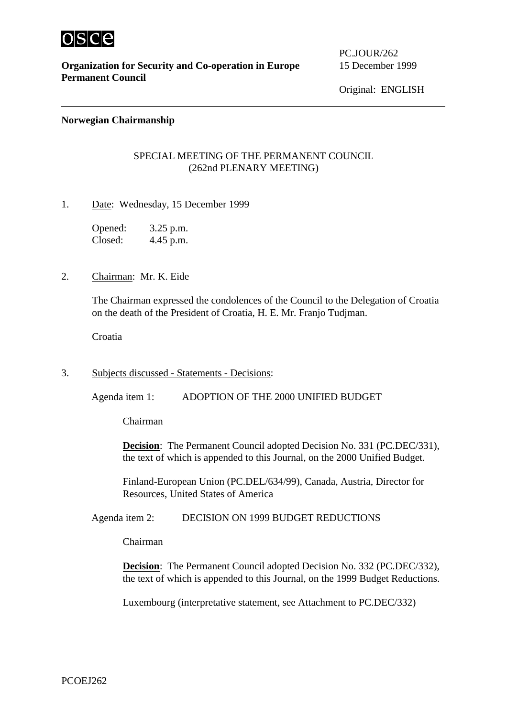

**Organization for Security and Co-operation in Europe** 15 December 1999 **Permanent Council**

PC.JOUR/262

Original: ENGLISH

## **Norwegian Chairmanship**

## SPECIAL MEETING OF THE PERMANENT COUNCIL (262nd PLENARY MEETING)

1. Date: Wednesday, 15 December 1999

Opened: 3.25 p.m. Closed: 4.45 p.m.

2. Chairman: Mr. K. Eide

The Chairman expressed the condolences of the Council to the Delegation of Croatia on the death of the President of Croatia, H. E. Mr. Franjo Tudjman.

Croatia

3. Subjects discussed - Statements - Decisions:

Agenda item 1: ADOPTION OF THE 2000 UNIFIED BUDGET

Chairman

**Decision**: The Permanent Council adopted Decision No. 331 (PC.DEC/331), the text of which is appended to this Journal, on the 2000 Unified Budget.

Finland-European Union (PC.DEL/634/99), Canada, Austria, Director for Resources, United States of America

Agenda item 2: DECISION ON 1999 BUDGET REDUCTIONS

Chairman

**Decision**: The Permanent Council adopted Decision No. 332 (PC.DEC/332), the text of which is appended to this Journal, on the 1999 Budget Reductions.

Luxembourg (interpretative statement, see Attachment to PC.DEC/332)